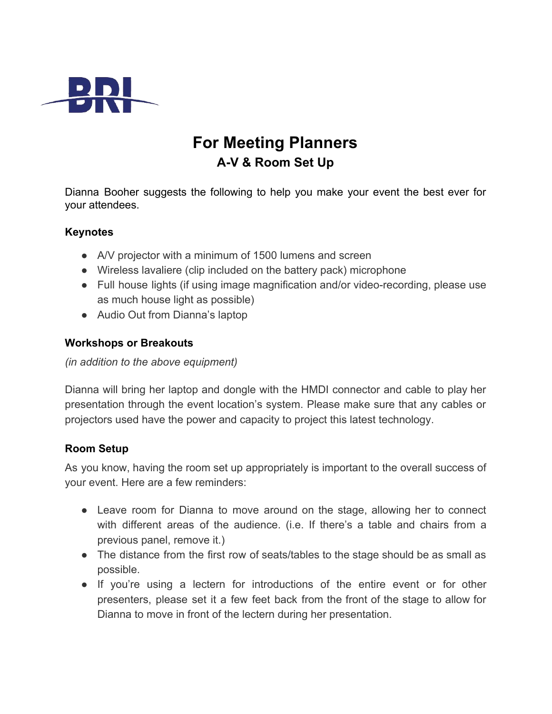

# **For Meeting Planners A-V & Room Set Up**

Dianna Booher suggests the following to help you make your event the best ever for your attendees.

### **Keynotes**

- A/V projector with a minimum of 1500 lumens and screen
- Wireless lavaliere (clip included on the battery pack) microphone
- Full house lights (if using image magnification and/or video-recording, please use as much house light as possible)
- Audio Out from Dianna's laptop

### **Workshops or Breakouts**

*(in addition to the above equipment)*

Dianna will bring her laptop and dongle with the HMDI connector and cable to play her presentation through the event location's system. Please make sure that any cables or projectors used have the power and capacity to project this latest technology.

### **Room Setup**

As you know, having the room set up appropriately is important to the overall success of your event. Here are a few reminders:

- Leave room for Dianna to move around on the stage, allowing her to connect with different areas of the audience. (i.e. If there's a table and chairs from a previous panel, remove it.)
- The distance from the first row of seats/tables to the stage should be as small as possible.
- If you're using a lectern for introductions of the entire event or for other presenters, please set it a few feet back from the front of the stage to allow for Dianna to move in front of the lectern during her presentation.